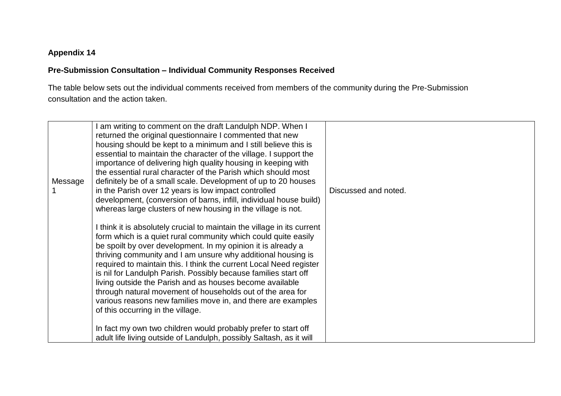## **Appendix 14**

## **Pre-Submission Consultation – Individual Community Responses Received**

The table below sets out the individual comments received from members of the community during the Pre-Submission consultation and the action taken.

| Message | am writing to comment on the draft Landulph NDP. When I<br>returned the original questionnaire I commented that new<br>housing should be kept to a minimum and I still believe this is<br>essential to maintain the character of the village. I support the<br>importance of delivering high quality housing in keeping with<br>the essential rural character of the Parish which should most<br>definitely be of a small scale. Development of up to 20 houses<br>in the Parish over 12 years is low impact controlled<br>development, (conversion of barns, infill, individual house build)<br>whereas large clusters of new housing in the village is not. | Discussed and noted. |
|---------|---------------------------------------------------------------------------------------------------------------------------------------------------------------------------------------------------------------------------------------------------------------------------------------------------------------------------------------------------------------------------------------------------------------------------------------------------------------------------------------------------------------------------------------------------------------------------------------------------------------------------------------------------------------|----------------------|
|         | I think it is absolutely crucial to maintain the village in its current<br>form which is a quiet rural community which could quite easily<br>be spoilt by over development. In my opinion it is already a<br>thriving community and I am unsure why additional housing is<br>required to maintain this. I think the current Local Need register<br>is nil for Landulph Parish. Possibly because families start off<br>living outside the Parish and as houses become available<br>through natural movement of households out of the area for<br>various reasons new families move in, and there are examples<br>of this occurring in the village.             |                      |
|         | In fact my own two children would probably prefer to start off<br>adult life living outside of Landulph, possibly Saltash, as it will                                                                                                                                                                                                                                                                                                                                                                                                                                                                                                                         |                      |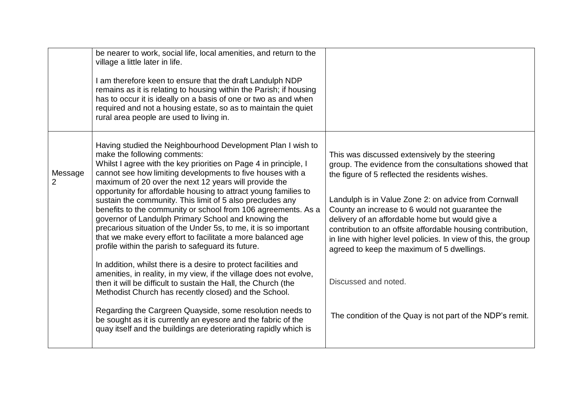|                           | be nearer to work, social life, local amenities, and return to the<br>village a little later in life.<br>I am therefore keen to ensure that the draft Landulph NDP<br>remains as it is relating to housing within the Parish; if housing<br>has to occur it is ideally on a basis of one or two as and when<br>required and not a housing estate, so as to maintain the quiet<br>rural area people are used to living in.                                                                                                                                                                                                                                                                                                                                                                                                                                                                                                                                                                                                                                                                                                                                                                                    |                                                                                                                                                                                                                                                                                                                                                                                                                                                                                                                                                                                               |
|---------------------------|--------------------------------------------------------------------------------------------------------------------------------------------------------------------------------------------------------------------------------------------------------------------------------------------------------------------------------------------------------------------------------------------------------------------------------------------------------------------------------------------------------------------------------------------------------------------------------------------------------------------------------------------------------------------------------------------------------------------------------------------------------------------------------------------------------------------------------------------------------------------------------------------------------------------------------------------------------------------------------------------------------------------------------------------------------------------------------------------------------------------------------------------------------------------------------------------------------------|-----------------------------------------------------------------------------------------------------------------------------------------------------------------------------------------------------------------------------------------------------------------------------------------------------------------------------------------------------------------------------------------------------------------------------------------------------------------------------------------------------------------------------------------------------------------------------------------------|
| Message<br>$\overline{2}$ | Having studied the Neighbourhood Development Plan I wish to<br>make the following comments:<br>Whilst I agree with the key priorities on Page 4 in principle, I<br>cannot see how limiting developments to five houses with a<br>maximum of 20 over the next 12 years will provide the<br>opportunity for affordable housing to attract young families to<br>sustain the community. This limit of 5 also precludes any<br>benefits to the community or school from 106 agreements. As a<br>governor of Landulph Primary School and knowing the<br>precarious situation of the Under 5s, to me, it is so important<br>that we make every effort to facilitate a more balanced age<br>profile within the parish to safeguard its future.<br>In addition, whilst there is a desire to protect facilities and<br>amenities, in reality, in my view, if the village does not evolve,<br>then it will be difficult to sustain the Hall, the Church (the<br>Methodist Church has recently closed) and the School.<br>Regarding the Cargreen Quayside, some resolution needs to<br>be sought as it is currently an eyesore and the fabric of the<br>quay itself and the buildings are deteriorating rapidly which is | This was discussed extensively by the steering<br>group. The evidence from the consultations showed that<br>the figure of 5 reflected the residents wishes.<br>Landulph is in Value Zone 2: on advice from Cornwall<br>County an increase to 6 would not guarantee the<br>delivery of an affordable home but would give a<br>contribution to an offsite affordable housing contribution,<br>in line with higher level policies. In view of this, the group<br>agreed to keep the maximum of 5 dwellings.<br>Discussed and noted.<br>The condition of the Quay is not part of the NDP's remit. |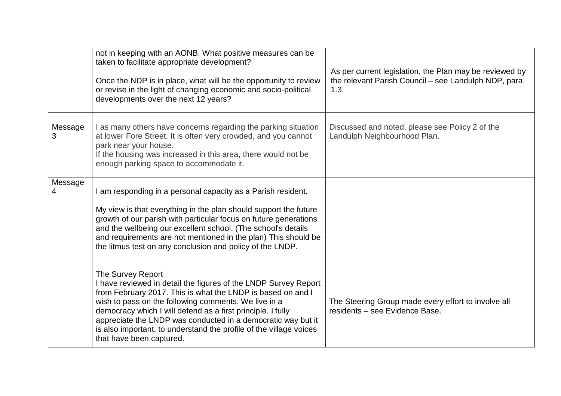|              | not in keeping with an AONB. What positive measures can be<br>taken to facilitate appropriate development?<br>Once the NDP is in place, what will be the opportunity to review<br>or revise in the light of changing economic and socio-political<br>developments over the next 12 years?                                                                                                                                 | As per current legislation, the Plan may be reviewed by<br>the relevant Parish Council - see Landulph NDP, para.<br>1.3. |
|--------------|---------------------------------------------------------------------------------------------------------------------------------------------------------------------------------------------------------------------------------------------------------------------------------------------------------------------------------------------------------------------------------------------------------------------------|--------------------------------------------------------------------------------------------------------------------------|
| Message<br>3 | I as many others have concerns regarding the parking situation<br>at lower Fore Street. It is often very crowded, and you cannot<br>park near your house.<br>If the housing was increased in this area, there would not be<br>enough parking space to accommodate it.                                                                                                                                                     | Discussed and noted, please see Policy 2 of the<br>Landulph Neighbourhood Plan.                                          |
| Message<br>4 | I am responding in a personal capacity as a Parish resident.<br>My view is that everything in the plan should support the future<br>growth of our parish with particular focus on future generations<br>and the wellbeing our excellent school. (The school's details<br>and requirements are not mentioned in the plan) This should be<br>the litmus test on any conclusion and policy of the LNDP.<br>The Survey Report |                                                                                                                          |
|              | I have reviewed in detail the figures of the LNDP Survey Report<br>from February 2017. This is what the LNDP is based on and I<br>wish to pass on the following comments. We live in a<br>democracy which I will defend as a first principle. I fully<br>appreciate the LNDP was conducted in a democratic way but it<br>is also important, to understand the profile of the village voices<br>that have been captured.   | The Steering Group made every effort to involve all<br>residents - see Evidence Base.                                    |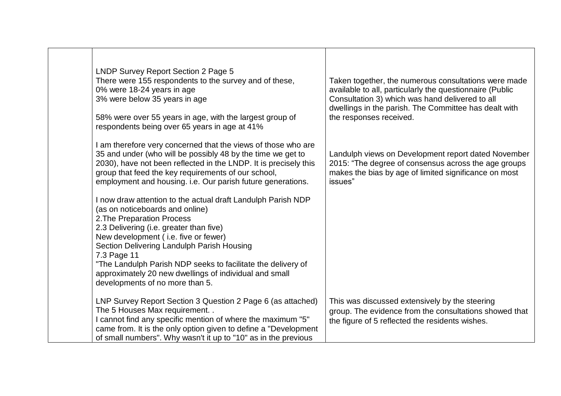| LNDP Survey Report Section 2 Page 5<br>There were 155 respondents to the survey and of these,<br>0% were 18-24 years in age<br>3% were below 35 years in age<br>58% were over 55 years in age, with the largest group of<br>respondents being over 65 years in age at 41%                                                                                                                                                                  | Taken together, the numerous consultations were made<br>available to all, particularly the questionnaire (Public<br>Consultation 3) which was hand delivered to all<br>dwellings in the parish. The Committee has dealt with<br>the responses received. |
|--------------------------------------------------------------------------------------------------------------------------------------------------------------------------------------------------------------------------------------------------------------------------------------------------------------------------------------------------------------------------------------------------------------------------------------------|---------------------------------------------------------------------------------------------------------------------------------------------------------------------------------------------------------------------------------------------------------|
| I am therefore very concerned that the views of those who are<br>35 and under (who will be possibly 48 by the time we get to<br>2030), have not been reflected in the LNDP. It is precisely this<br>group that feed the key requirements of our school,<br>employment and housing. i.e. Our parish future generations.                                                                                                                     | Landulph views on Development report dated November<br>2015: "The degree of consensus across the age groups<br>makes the bias by age of limited significance on most<br>issues"                                                                         |
| I now draw attention to the actual draft Landulph Parish NDP<br>(as on noticeboards and online)<br>2. The Preparation Process<br>2.3 Delivering (i.e. greater than five)<br>New development (i.e. five or fewer)<br>Section Delivering Landulph Parish Housing<br>7.3 Page 11<br>"The Landulph Parish NDP seeks to facilitate the delivery of<br>approximately 20 new dwellings of individual and small<br>developments of no more than 5. |                                                                                                                                                                                                                                                         |
| LNP Survey Report Section 3 Question 2 Page 6 (as attached)<br>The 5 Houses Max requirement<br>I cannot find any specific mention of where the maximum "5"<br>came from. It is the only option given to define a "Development"<br>of small numbers". Why wasn't it up to "10" as in the previous                                                                                                                                           | This was discussed extensively by the steering<br>group. The evidence from the consultations showed that<br>the figure of 5 reflected the residents wishes.                                                                                             |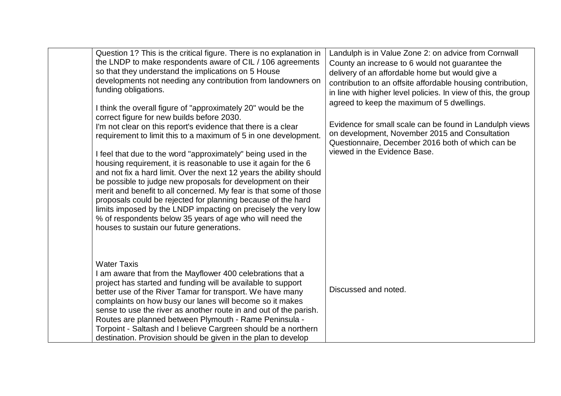| Question 1? This is the critical figure. There is no explanation in<br>the LNDP to make respondents aware of CIL / 106 agreements<br>so that they understand the implications on 5 House<br>developments not needing any contribution from landowners on<br>funding obligations.<br>I think the overall figure of "approximately 20" would be the<br>correct figure for new builds before 2030.<br>I'm not clear on this report's evidence that there is a clear<br>requirement to limit this to a maximum of 5 in one development.<br>I feel that due to the word "approximately" being used in the<br>housing requirement, it is reasonable to use it again for the 6<br>and not fix a hard limit. Over the next 12 years the ability should<br>be possible to judge new proposals for development on their<br>merit and benefit to all concerned. My fear is that some of those<br>proposals could be rejected for planning because of the hard<br>limits imposed by the LNDP impacting on precisely the very low<br>% of respondents below 35 years of age who will need the<br>houses to sustain our future generations. | Landulph is in Value Zone 2: on advice from Cornwall<br>County an increase to 6 would not guarantee the<br>delivery of an affordable home but would give a<br>contribution to an offsite affordable housing contribution,<br>in line with higher level policies. In view of this, the group<br>agreed to keep the maximum of 5 dwellings.<br>Evidence for small scale can be found in Landulph views<br>on development, November 2015 and Consultation<br>Questionnaire, December 2016 both of which can be<br>viewed in the Evidence Base. |
|-------------------------------------------------------------------------------------------------------------------------------------------------------------------------------------------------------------------------------------------------------------------------------------------------------------------------------------------------------------------------------------------------------------------------------------------------------------------------------------------------------------------------------------------------------------------------------------------------------------------------------------------------------------------------------------------------------------------------------------------------------------------------------------------------------------------------------------------------------------------------------------------------------------------------------------------------------------------------------------------------------------------------------------------------------------------------------------------------------------------------------|---------------------------------------------------------------------------------------------------------------------------------------------------------------------------------------------------------------------------------------------------------------------------------------------------------------------------------------------------------------------------------------------------------------------------------------------------------------------------------------------------------------------------------------------|
| <b>Water Taxis</b><br>I am aware that from the Mayflower 400 celebrations that a<br>project has started and funding will be available to support<br>better use of the River Tamar for transport. We have many<br>complaints on how busy our lanes will become so it makes<br>sense to use the river as another route in and out of the parish.<br>Routes are planned between Plymouth - Rame Peninsula -<br>Torpoint - Saltash and I believe Cargreen should be a northern<br>destination. Provision should be given in the plan to develop                                                                                                                                                                                                                                                                                                                                                                                                                                                                                                                                                                                   | Discussed and noted.                                                                                                                                                                                                                                                                                                                                                                                                                                                                                                                        |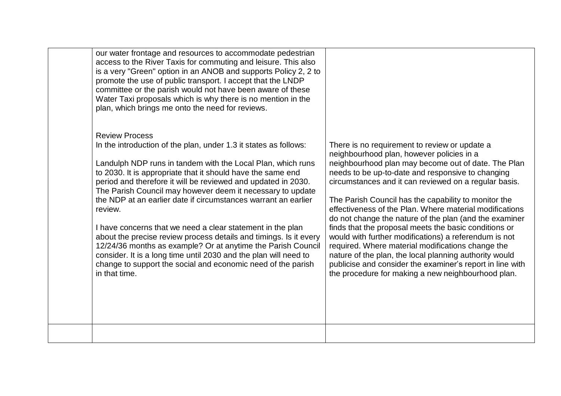| our water frontage and resources to accommodate pedestrian<br>access to the River Taxis for commuting and leisure. This also<br>is a very "Green" option in an ANOB and supports Policy 2, 2 to<br>promote the use of public transport. I accept that the LNDP<br>committee or the parish would not have been aware of these<br>Water Taxi proposals which is why there is no mention in the<br>plan, which brings me onto the need for reviews.                                                                                                                                                                                                                                                                                                                                            |                                                                                                                                                                                                                                                                                                                                                                                                                                                                                                                                                                                                                                                                                                                                                                                                  |
|---------------------------------------------------------------------------------------------------------------------------------------------------------------------------------------------------------------------------------------------------------------------------------------------------------------------------------------------------------------------------------------------------------------------------------------------------------------------------------------------------------------------------------------------------------------------------------------------------------------------------------------------------------------------------------------------------------------------------------------------------------------------------------------------|--------------------------------------------------------------------------------------------------------------------------------------------------------------------------------------------------------------------------------------------------------------------------------------------------------------------------------------------------------------------------------------------------------------------------------------------------------------------------------------------------------------------------------------------------------------------------------------------------------------------------------------------------------------------------------------------------------------------------------------------------------------------------------------------------|
| <b>Review Process</b><br>In the introduction of the plan, under 1.3 it states as follows:<br>Landulph NDP runs in tandem with the Local Plan, which runs<br>to 2030. It is appropriate that it should have the same end<br>period and therefore it will be reviewed and updated in 2030.<br>The Parish Council may however deem it necessary to update<br>the NDP at an earlier date if circumstances warrant an earlier<br>review.<br>I have concerns that we need a clear statement in the plan<br>about the precise review process details and timings. Is it every<br>12/24/36 months as example? Or at anytime the Parish Council<br>consider. It is a long time until 2030 and the plan will need to<br>change to support the social and economic need of the parish<br>in that time. | There is no requirement to review or update a<br>neighbourhood plan, however policies in a<br>neighbourhood plan may become out of date. The Plan<br>needs to be up-to-date and responsive to changing<br>circumstances and it can reviewed on a regular basis.<br>The Parish Council has the capability to monitor the<br>effectiveness of the Plan. Where material modifications<br>do not change the nature of the plan (and the examiner<br>finds that the proposal meets the basic conditions or<br>would with further modifications) a referendum is not<br>required. Where material modifications change the<br>nature of the plan, the local planning authority would<br>publicise and consider the examiner's report in line with<br>the procedure for making a new neighbourhood plan. |
|                                                                                                                                                                                                                                                                                                                                                                                                                                                                                                                                                                                                                                                                                                                                                                                             |                                                                                                                                                                                                                                                                                                                                                                                                                                                                                                                                                                                                                                                                                                                                                                                                  |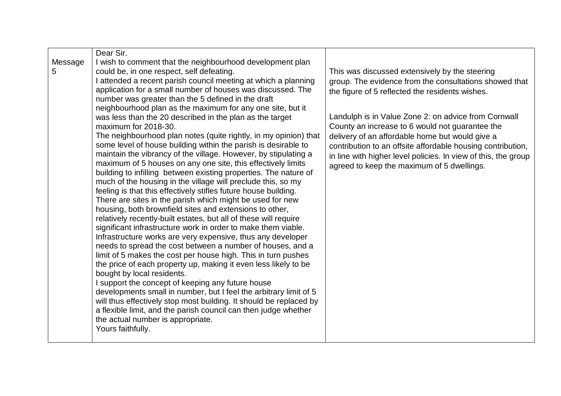|               | Dear Sir.                                                                                                                                                                                                                                                                                                                                                                                                                                                                                                                                                                                                                                                                                                                                                                                                                                                                                                                                                                                                                                                                                                                                                                                                                                                                                                                                                                                                                                                                                                                                                                                                                                                                                                                                                                                                                |                                                                                                                                                                                                                                                                                                                                                                                                                                                                                                          |
|---------------|--------------------------------------------------------------------------------------------------------------------------------------------------------------------------------------------------------------------------------------------------------------------------------------------------------------------------------------------------------------------------------------------------------------------------------------------------------------------------------------------------------------------------------------------------------------------------------------------------------------------------------------------------------------------------------------------------------------------------------------------------------------------------------------------------------------------------------------------------------------------------------------------------------------------------------------------------------------------------------------------------------------------------------------------------------------------------------------------------------------------------------------------------------------------------------------------------------------------------------------------------------------------------------------------------------------------------------------------------------------------------------------------------------------------------------------------------------------------------------------------------------------------------------------------------------------------------------------------------------------------------------------------------------------------------------------------------------------------------------------------------------------------------------------------------------------------------|----------------------------------------------------------------------------------------------------------------------------------------------------------------------------------------------------------------------------------------------------------------------------------------------------------------------------------------------------------------------------------------------------------------------------------------------------------------------------------------------------------|
| Message<br>5. | I wish to comment that the neighbourhood development plan<br>could be, in one respect, self defeating.<br>I attended a recent parish council meeting at which a planning<br>application for a small number of houses was discussed. The<br>number was greater than the 5 defined in the draft<br>neighbourhood plan as the maximum for any one site, but it<br>was less than the 20 described in the plan as the target<br>maximum for 2018-30.<br>The neighbourhood plan notes (quite rightly, in my opinion) that<br>some level of house building within the parish is desirable to<br>maintain the vibrancy of the village. However, by stipulating a<br>maximum of 5 houses on any one site, this effectively limits<br>building to infilling between existing properties. The nature of<br>much of the housing in the village will preclude this, so my<br>feeling is that this effectively stifles future house building.<br>There are sites in the parish which might be used for new<br>housing, both brownfield sites and extensions to other,<br>relatively recently-built estates, but all of these will require<br>significant infrastructure work in order to make them viable.<br>Infrastructure works are very expensive, thus any developer<br>needs to spread the cost between a number of houses, and a<br>limit of 5 makes the cost per house high. This in turn pushes<br>the price of each property up, making it even less likely to be<br>bought by local residents.<br>I support the concept of keeping any future house<br>developments small in number, but I feel the arbitrary limit of 5<br>will thus effectively stop most building. It should be replaced by<br>a flexible limit, and the parish council can then judge whether<br>the actual number is appropriate.<br>Yours faithfully. | This was discussed extensively by the steering<br>group. The evidence from the consultations showed that<br>the figure of 5 reflected the residents wishes.<br>Landulph is in Value Zone 2: on advice from Cornwall<br>County an increase to 6 would not guarantee the<br>delivery of an affordable home but would give a<br>contribution to an offsite affordable housing contribution,<br>in line with higher level policies. In view of this, the group<br>agreed to keep the maximum of 5 dwellings. |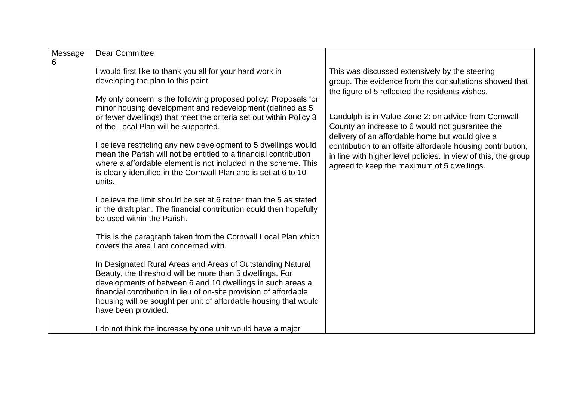| Message | <b>Dear Committee</b>                                              |                                                                |
|---------|--------------------------------------------------------------------|----------------------------------------------------------------|
| 6       |                                                                    |                                                                |
|         | I would first like to thank you all for your hard work in          | This was discussed extensively by the steering                 |
|         | developing the plan to this point                                  | group. The evidence from the consultations showed that         |
|         |                                                                    | the figure of 5 reflected the residents wishes.                |
|         | My only concern is the following proposed policy: Proposals for    |                                                                |
|         | minor housing development and redevelopment (defined as 5          |                                                                |
|         | or fewer dwellings) that meet the criteria set out within Policy 3 | Landulph is in Value Zone 2: on advice from Cornwall           |
|         | of the Local Plan will be supported.                               | County an increase to 6 would not guarantee the                |
|         |                                                                    | delivery of an affordable home but would give a                |
|         | I believe restricting any new development to 5 dwellings would     | contribution to an offsite affordable housing contribution,    |
|         | mean the Parish will not be entitled to a financial contribution   |                                                                |
|         | where a affordable element is not included in the scheme. This     | in line with higher level policies. In view of this, the group |
|         | is clearly identified in the Cornwall Plan and is set at 6 to 10   | agreed to keep the maximum of 5 dwellings.                     |
|         | units.                                                             |                                                                |
|         |                                                                    |                                                                |
|         | I believe the limit should be set at 6 rather than the 5 as stated |                                                                |
|         | in the draft plan. The financial contribution could then hopefully |                                                                |
|         | be used within the Parish.                                         |                                                                |
|         |                                                                    |                                                                |
|         | This is the paragraph taken from the Cornwall Local Plan which     |                                                                |
|         | covers the area I am concerned with.                               |                                                                |
|         |                                                                    |                                                                |
|         | In Designated Rural Areas and Areas of Outstanding Natural         |                                                                |
|         | Beauty, the threshold will be more than 5 dwellings. For           |                                                                |
|         |                                                                    |                                                                |
|         | developments of between 6 and 10 dwellings in such areas a         |                                                                |
|         | financial contribution in lieu of on-site provision of affordable  |                                                                |
|         | housing will be sought per unit of affordable housing that would   |                                                                |
|         | have been provided.                                                |                                                                |
|         |                                                                    |                                                                |
|         | I do not think the increase by one unit would have a major         |                                                                |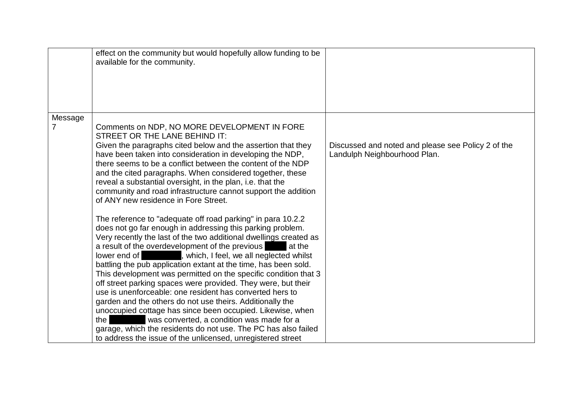|         | effect on the community but would hopefully allow funding to be<br>available for the community.                                                                                                                                                                                                                                                                                                                                                                                                                                                                                                                                                                                                                                                                                                                                                                                                            |                                                                                    |
|---------|------------------------------------------------------------------------------------------------------------------------------------------------------------------------------------------------------------------------------------------------------------------------------------------------------------------------------------------------------------------------------------------------------------------------------------------------------------------------------------------------------------------------------------------------------------------------------------------------------------------------------------------------------------------------------------------------------------------------------------------------------------------------------------------------------------------------------------------------------------------------------------------------------------|------------------------------------------------------------------------------------|
| Message |                                                                                                                                                                                                                                                                                                                                                                                                                                                                                                                                                                                                                                                                                                                                                                                                                                                                                                            |                                                                                    |
| 7       | Comments on NDP, NO MORE DEVELOPMENT IN FORE<br>STREET OR THE LANE BEHIND IT:<br>Given the paragraphs cited below and the assertion that they<br>have been taken into consideration in developing the NDP,<br>there seems to be a conflict between the content of the NDP<br>and the cited paragraphs. When considered together, these<br>reveal a substantial oversight, in the plan, i.e. that the<br>community and road infrastructure cannot support the addition<br>of ANY new residence in Fore Street.                                                                                                                                                                                                                                                                                                                                                                                              | Discussed and noted and please see Policy 2 of the<br>Landulph Neighbourhood Plan. |
|         | The reference to "adequate off road parking" in para 10.2.2<br>does not go far enough in addressing this parking problem.<br>Very recently the last of the two additional dwellings created as<br>a result of the overdevelopment of the previous<br>at the<br>lower end of<br>, which, I feel, we all neglected whilst<br>battling the pub application extant at the time, has been sold.<br>This development was permitted on the specific condition that 3<br>off street parking spaces were provided. They were, but their<br>use is unenforceable; one resident has converted hers to<br>garden and the others do not use theirs. Additionally the<br>unoccupied cottage has since been occupied. Likewise, when<br>was converted, a condition was made for a<br>the<br>garage, which the residents do not use. The PC has also failed<br>to address the issue of the unlicensed, unregistered street |                                                                                    |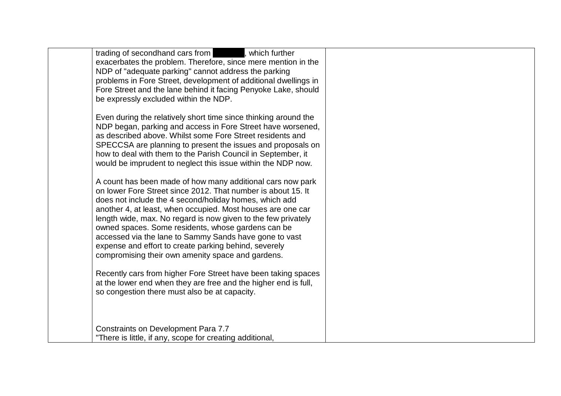| trading of secondhand cars from<br>, which further<br>exacerbates the problem. Therefore, since mere mention in the<br>NDP of "adequate parking" cannot address the parking<br>problems in Fore Street, development of additional dwellings in<br>Fore Street and the lane behind it facing Penyoke Lake, should<br>be expressly excluded within the NDP.                                                                                                                                                                                          |  |
|----------------------------------------------------------------------------------------------------------------------------------------------------------------------------------------------------------------------------------------------------------------------------------------------------------------------------------------------------------------------------------------------------------------------------------------------------------------------------------------------------------------------------------------------------|--|
| Even during the relatively short time since thinking around the<br>NDP began, parking and access in Fore Street have worsened,<br>as described above. Whilst some Fore Street residents and<br>SPECCSA are planning to present the issues and proposals on<br>how to deal with them to the Parish Council in September, it<br>would be imprudent to neglect this issue within the NDP now.                                                                                                                                                         |  |
| A count has been made of how many additional cars now park<br>on lower Fore Street since 2012. That number is about 15. It<br>does not include the 4 second/holiday homes, which add<br>another 4, at least, when occupied. Most houses are one car<br>length wide, max. No regard is now given to the few privately<br>owned spaces. Some residents, whose gardens can be<br>accessed via the lane to Sammy Sands have gone to vast<br>expense and effort to create parking behind, severely<br>compromising their own amenity space and gardens. |  |
| Recently cars from higher Fore Street have been taking spaces<br>at the lower end when they are free and the higher end is full,<br>so congestion there must also be at capacity.                                                                                                                                                                                                                                                                                                                                                                  |  |
| Constraints on Development Para 7.7<br>"There is little, if any, scope for creating additional,                                                                                                                                                                                                                                                                                                                                                                                                                                                    |  |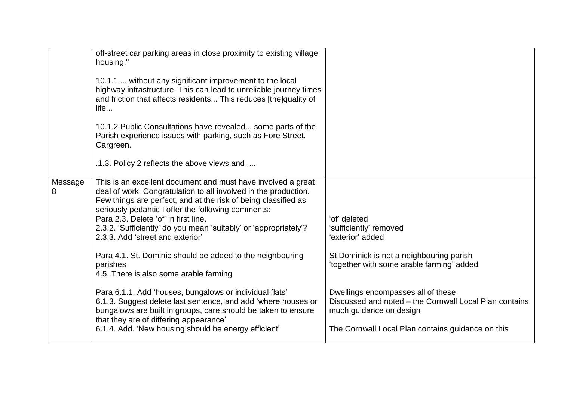|              | off-street car parking areas in close proximity to existing village<br>housing."<br>10.1.1  without any significant improvement to the local<br>highway infrastructure. This can lead to unreliable journey times<br>and friction that affects residents This reduces [the]quality of<br>life<br>10.1.2 Public Consultations have revealed, some parts of the<br>Parish experience issues with parking, such as Fore Street,<br>Cargreen.<br>.1.3. Policy 2 reflects the above views and                                                                                                                                                                                                                                                                                                                                  |                                                                                                                                                                                                                                                                                                                                     |
|--------------|---------------------------------------------------------------------------------------------------------------------------------------------------------------------------------------------------------------------------------------------------------------------------------------------------------------------------------------------------------------------------------------------------------------------------------------------------------------------------------------------------------------------------------------------------------------------------------------------------------------------------------------------------------------------------------------------------------------------------------------------------------------------------------------------------------------------------|-------------------------------------------------------------------------------------------------------------------------------------------------------------------------------------------------------------------------------------------------------------------------------------------------------------------------------------|
| Message<br>8 | This is an excellent document and must have involved a great<br>deal of work. Congratulation to all involved in the production.<br>Few things are perfect, and at the risk of being classified as<br>seriously pedantic I offer the following comments:<br>Para 2.3. Delete 'of' in first line.<br>2.3.2. 'Sufficiently' do you mean 'suitably' or 'appropriately'?<br>2.3.3. Add 'street and exterior'<br>Para 4.1. St. Dominic should be added to the neighbouring<br>parishes<br>4.5. There is also some arable farming<br>Para 6.1.1. Add 'houses, bungalows or individual flats'<br>6.1.3. Suggest delete last sentence, and add 'where houses or<br>bungalows are built in groups, care should be taken to ensure<br>that they are of differing appearance'<br>6.1.4. Add. 'New housing should be energy efficient' | 'of' deleted<br>'sufficiently' removed<br>'exterior' added<br>St Dominick is not a neighbouring parish<br>'together with some arable farming' added<br>Dwellings encompasses all of these<br>Discussed and noted – the Cornwall Local Plan contains<br>much guidance on design<br>The Cornwall Local Plan contains guidance on this |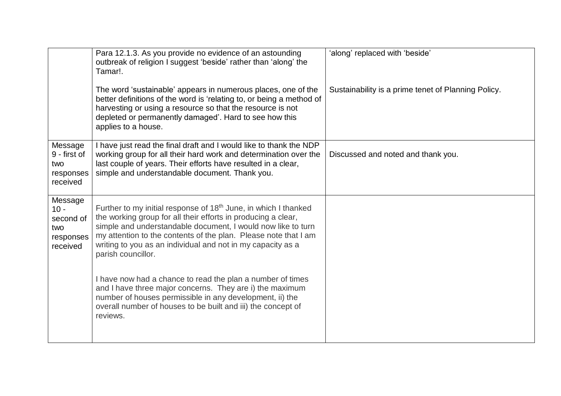|                                                                | Para 12.1.3. As you provide no evidence of an astounding<br>outbreak of religion I suggest 'beside' rather than 'along' the<br>Tamar!.                                                                                                                                                                                                                               | 'along' replaced with 'beside'                      |
|----------------------------------------------------------------|----------------------------------------------------------------------------------------------------------------------------------------------------------------------------------------------------------------------------------------------------------------------------------------------------------------------------------------------------------------------|-----------------------------------------------------|
|                                                                | The word 'sustainable' appears in numerous places, one of the<br>better definitions of the word is 'relating to, or being a method of<br>harvesting or using a resource so that the resource is not<br>depleted or permanently damaged'. Hard to see how this<br>applies to a house.                                                                                 | Sustainability is a prime tenet of Planning Policy. |
| Message<br>9 - first of<br>two<br>responses<br>received        | I have just read the final draft and I would like to thank the NDP<br>working group for all their hard work and determination over the<br>last couple of years. Their efforts have resulted in a clear,<br>simple and understandable document. Thank you.                                                                                                            | Discussed and noted and thank you.                  |
| Message<br>$10 -$<br>second of<br>two<br>responses<br>received | Further to my initial response of 18 <sup>th</sup> June, in which I thanked<br>the working group for all their efforts in producing a clear,<br>simple and understandable document, I would now like to turn<br>my attention to the contents of the plan. Please note that I am<br>writing to you as an individual and not in my capacity as a<br>parish councillor. |                                                     |
|                                                                | I have now had a chance to read the plan a number of times<br>and I have three major concerns. They are i) the maximum<br>number of houses permissible in any development, ii) the<br>overall number of houses to be built and iii) the concept of<br>reviews.                                                                                                       |                                                     |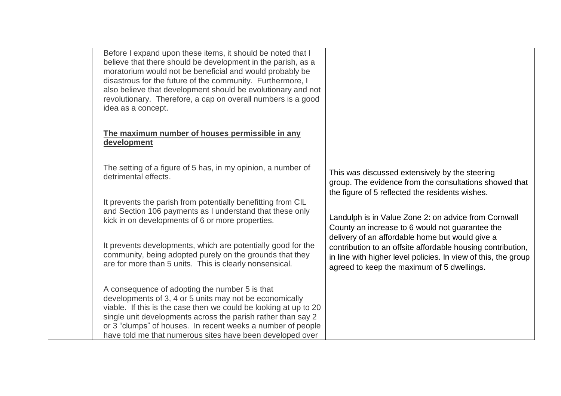| Before I expand upon these items, it should be noted that I<br>believe that there should be development in the parish, as a<br>moratorium would not be beneficial and would probably be<br>disastrous for the future of the community. Furthermore, I<br>also believe that development should be evolutionary and not<br>revolutionary. Therefore, a cap on overall numbers is a good<br>idea as a concept. |                                                                                                                                                                                                                                |
|-------------------------------------------------------------------------------------------------------------------------------------------------------------------------------------------------------------------------------------------------------------------------------------------------------------------------------------------------------------------------------------------------------------|--------------------------------------------------------------------------------------------------------------------------------------------------------------------------------------------------------------------------------|
| The maximum number of houses permissible in any<br>development                                                                                                                                                                                                                                                                                                                                              |                                                                                                                                                                                                                                |
| The setting of a figure of 5 has, in my opinion, a number of<br>detrimental effects.                                                                                                                                                                                                                                                                                                                        | This was discussed extensively by the steering<br>group. The evidence from the consultations showed that<br>the figure of 5 reflected the residents wishes.                                                                    |
| It prevents the parish from potentially benefitting from CIL<br>and Section 106 payments as I understand that these only<br>kick in on developments of 6 or more properties.                                                                                                                                                                                                                                | Landulph is in Value Zone 2: on advice from Cornwall<br>County an increase to 6 would not guarantee the                                                                                                                        |
| It prevents developments, which are potentially good for the<br>community, being adopted purely on the grounds that they<br>are for more than 5 units. This is clearly nonsensical.                                                                                                                                                                                                                         | delivery of an affordable home but would give a<br>contribution to an offsite affordable housing contribution,<br>in line with higher level policies. In view of this, the group<br>agreed to keep the maximum of 5 dwellings. |
| A consequence of adopting the number 5 is that<br>developments of 3, 4 or 5 units may not be economically<br>viable. If this is the case then we could be looking at up to 20<br>single unit developments across the parish rather than say 2<br>or 3 "clumps" of houses. In recent weeks a number of people<br>have told me that numerous sites have been developed over                                   |                                                                                                                                                                                                                                |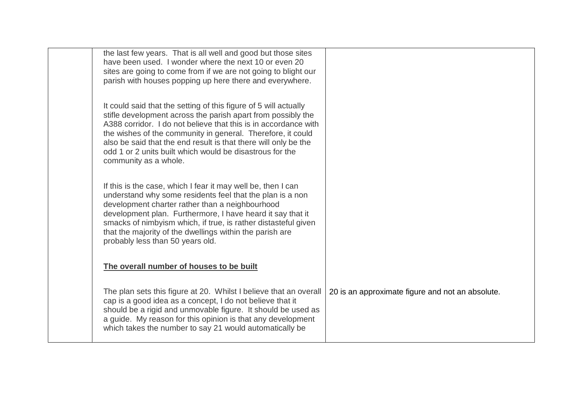| the last few years. That is all well and good but those sites<br>have been used. I wonder where the next 10 or even 20<br>sites are going to come from if we are not going to blight our<br>parish with houses popping up here there and everywhere.                                                                                                                                                                       |                                                  |
|----------------------------------------------------------------------------------------------------------------------------------------------------------------------------------------------------------------------------------------------------------------------------------------------------------------------------------------------------------------------------------------------------------------------------|--------------------------------------------------|
| It could said that the setting of this figure of 5 will actually<br>stifle development across the parish apart from possibly the<br>A388 corridor. I do not believe that this is in accordance with<br>the wishes of the community in general. Therefore, it could<br>also be said that the end result is that there will only be the<br>odd 1 or 2 units built which would be disastrous for the<br>community as a whole. |                                                  |
| If this is the case, which I fear it may well be, then I can<br>understand why some residents feel that the plan is a non<br>development charter rather than a neighbourhood<br>development plan. Furthermore, I have heard it say that it<br>smacks of nimbyism which, if true, is rather distasteful given<br>that the majority of the dwellings within the parish are<br>probably less than 50 years old.               |                                                  |
| The overall number of houses to be built                                                                                                                                                                                                                                                                                                                                                                                   |                                                  |
| The plan sets this figure at 20. Whilst I believe that an overall<br>cap is a good idea as a concept, I do not believe that it<br>should be a rigid and unmovable figure. It should be used as<br>a guide. My reason for this opinion is that any development<br>which takes the number to say 21 would automatically be                                                                                                   | 20 is an approximate figure and not an absolute. |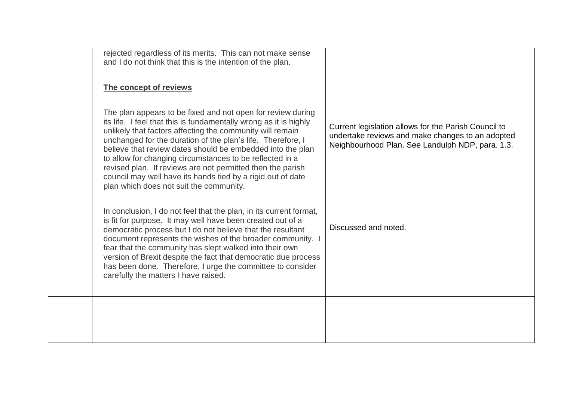| rejected regardless of its merits. This can not make sense<br>and I do not think that this is the intention of the plan.                                                                                                                                                                                                                                                                                                                                                                                                                                       |                                                                                                                                                              |
|----------------------------------------------------------------------------------------------------------------------------------------------------------------------------------------------------------------------------------------------------------------------------------------------------------------------------------------------------------------------------------------------------------------------------------------------------------------------------------------------------------------------------------------------------------------|--------------------------------------------------------------------------------------------------------------------------------------------------------------|
| The concept of reviews                                                                                                                                                                                                                                                                                                                                                                                                                                                                                                                                         |                                                                                                                                                              |
| The plan appears to be fixed and not open for review during<br>its life. I feel that this is fundamentally wrong as it is highly<br>unlikely that factors affecting the community will remain<br>unchanged for the duration of the plan's life. Therefore, I<br>believe that review dates should be embedded into the plan<br>to allow for changing circumstances to be reflected in a<br>revised plan. If reviews are not permitted then the parish<br>council may well have its hands tied by a rigid out of date<br>plan which does not suit the community. | Current legislation allows for the Parish Council to<br>undertake reviews and make changes to an adopted<br>Neighbourhood Plan. See Landulph NDP, para. 1.3. |
| In conclusion, I do not feel that the plan, in its current format,<br>is fit for purpose. It may well have been created out of a<br>democratic process but I do not believe that the resultant<br>document represents the wishes of the broader community. I<br>fear that the community has slept walked into their own<br>version of Brexit despite the fact that democratic due process<br>has been done. Therefore, I urge the committee to consider<br>carefully the matters I have raised.                                                                | Discussed and noted.                                                                                                                                         |
|                                                                                                                                                                                                                                                                                                                                                                                                                                                                                                                                                                |                                                                                                                                                              |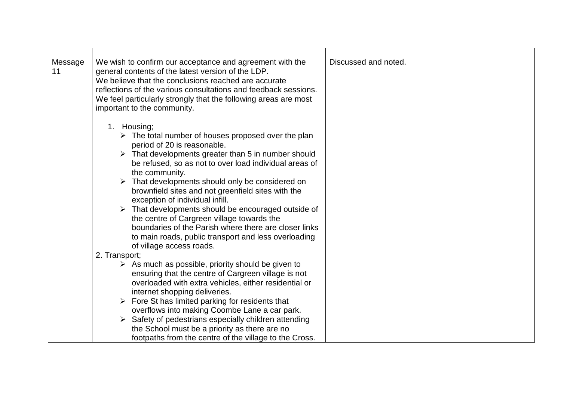| Message<br>11 | We wish to confirm our acceptance and agreement with the<br>general contents of the latest version of the LDP.<br>We believe that the conclusions reached are accurate<br>reflections of the various consultations and feedback sessions.<br>We feel particularly strongly that the following areas are most<br>important to the community.                                                                                                                                                                                                                                                                                                                                    | Discussed and noted. |
|---------------|--------------------------------------------------------------------------------------------------------------------------------------------------------------------------------------------------------------------------------------------------------------------------------------------------------------------------------------------------------------------------------------------------------------------------------------------------------------------------------------------------------------------------------------------------------------------------------------------------------------------------------------------------------------------------------|----------------------|
|               | 1. Housing;<br>$\triangleright$ The total number of houses proposed over the plan<br>period of 20 is reasonable.<br>$\triangleright$ That developments greater than 5 in number should<br>be refused, so as not to over load individual areas of<br>the community.<br>That developments should only be considered on<br>brownfield sites and not greenfield sites with the<br>exception of individual infill.<br>$\triangleright$ That developments should be encouraged outside of<br>the centre of Cargreen village towards the<br>boundaries of the Parish where there are closer links<br>to main roads, public transport and less overloading<br>of village access roads. |                      |
|               | 2. Transport;                                                                                                                                                                                                                                                                                                                                                                                                                                                                                                                                                                                                                                                                  |                      |
|               | $\triangleright$ As much as possible, priority should be given to<br>ensuring that the centre of Cargreen village is not<br>overloaded with extra vehicles, either residential or<br>internet shopping deliveries.<br>$\triangleright$ Fore St has limited parking for residents that<br>overflows into making Coombe Lane a car park.<br>Safety of pedestrians especially children attending<br>the School must be a priority as there are no<br>footpaths from the centre of the village to the Cross.                                                                                                                                                                       |                      |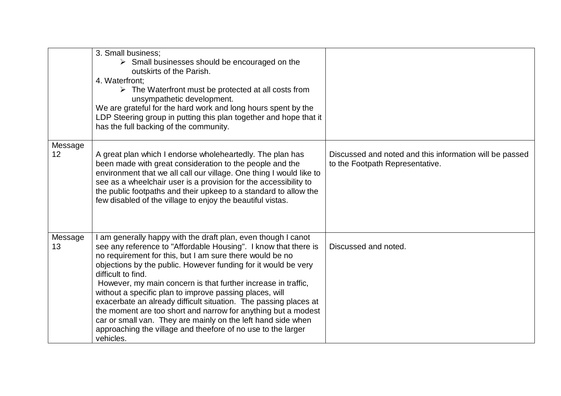|                            | 3. Small business;<br>$\triangleright$ Small businesses should be encouraged on the<br>outskirts of the Parish.<br>4. Waterfront:<br>$\triangleright$ The Waterfront must be protected at all costs from<br>unsympathetic development.<br>We are grateful for the hard work and long hours spent by the<br>LDP Steering group in putting this plan together and hope that it<br>has the full backing of the community.                                                                                                                                                                                                                                                                             |                                                                                            |
|----------------------------|----------------------------------------------------------------------------------------------------------------------------------------------------------------------------------------------------------------------------------------------------------------------------------------------------------------------------------------------------------------------------------------------------------------------------------------------------------------------------------------------------------------------------------------------------------------------------------------------------------------------------------------------------------------------------------------------------|--------------------------------------------------------------------------------------------|
| Message<br>12 <sup>2</sup> | A great plan which I endorse wholeheartedly. The plan has<br>been made with great consideration to the people and the<br>environment that we all call our village. One thing I would like to<br>see as a wheelchair user is a provision for the accessibility to<br>the public footpaths and their upkeep to a standard to allow the<br>few disabled of the village to enjoy the beautiful vistas.                                                                                                                                                                                                                                                                                                 | Discussed and noted and this information will be passed<br>to the Footpath Representative. |
| Message<br>13              | I am generally happy with the draft plan, even though I canot<br>see any reference to "Affordable Housing". I know that there is<br>no requirement for this, but I am sure there would be no<br>objections by the public. However funding for it would be very<br>difficult to find.<br>However, my main concern is that further increase in traffic,<br>without a specific plan to improve passing places, will<br>exacerbate an already difficult situation. The passing places at<br>the moment are too short and narrow for anything but a modest<br>car or small van. They are mainly on the left hand side when<br>approaching the village and theefore of no use to the larger<br>vehicles. | Discussed and noted.                                                                       |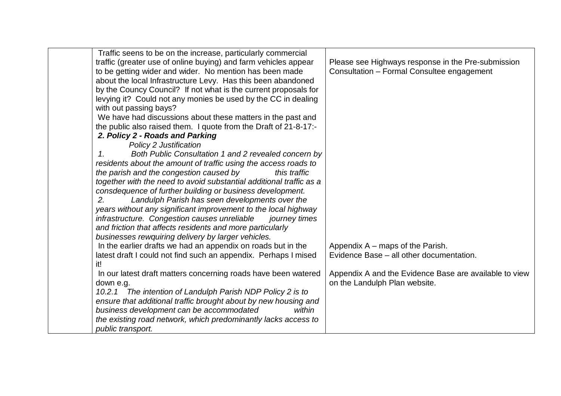| Traffic seens to be on the increase, particularly commercial        |                                                        |
|---------------------------------------------------------------------|--------------------------------------------------------|
| traffic (greater use of online buying) and farm vehicles appear     | Please see Highways response in the Pre-submission     |
| to be getting wider and wider. No mention has been made             | Consultation - Formal Consultee engagement             |
| about the local Infrastructure Levy. Has this been abandoned        |                                                        |
| by the Councy Council? If not what is the current proposals for     |                                                        |
| levying it? Could not any monies be used by the CC in dealing       |                                                        |
| with out passing bays?                                              |                                                        |
| We have had discussions about these matters in the past and         |                                                        |
| the public also raised them. I quote from the Draft of 21-8-17:-    |                                                        |
| 2. Policy 2 - Roads and Parking                                     |                                                        |
| <b>Policy 2 Justification</b>                                       |                                                        |
| Both Public Consultation 1 and 2 revealed concern by<br>1.          |                                                        |
| residents about the amount of traffic using the access roads to     |                                                        |
| the parish and the congestion caused by<br>this traffic             |                                                        |
| together with the need to avoid substantial additional traffic as a |                                                        |
| consdequence of further building or business development.           |                                                        |
| Landulph Parish has seen developments over the<br>2.                |                                                        |
| years without any significant improvement to the local highway      |                                                        |
| infrastructure. Congestion causes unreliable<br>journey times       |                                                        |
| and friction that affects residents and more particularly           |                                                        |
| businesses rewquiring delivery by larger vehicles.                  |                                                        |
| In the earlier drafts we had an appendix on roads but in the        | Appendix A – maps of the Parish.                       |
| latest draft I could not find such an appendix. Perhaps I mised     | Evidence Base – all other documentation.               |
| it!                                                                 |                                                        |
| In our latest draft matters concerning roads have been watered      | Appendix A and the Evidence Base are available to view |
| down e.g.                                                           | on the Landulph Plan website.                          |
| 10.2.1 The intention of Landulph Parish NDP Policy 2 is to          |                                                        |
| ensure that additional traffic brought about by new housing and     |                                                        |
| business development can be accommodated<br>within                  |                                                        |
| the existing road network, which predominantly lacks access to      |                                                        |
| public transport.                                                   |                                                        |